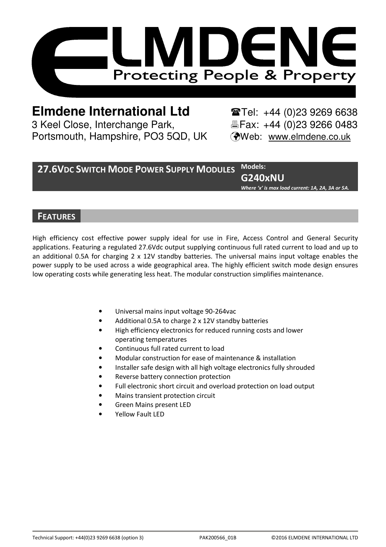

# **Elmdene International Ltd** Tel: +44 (0)23 9269 6638

3 Keel Close, Interchange Park, Element & Fax: +44 (0)23 9266 0483 Portsmouth, Hampshire, PO3 5QD, UK (Web: www.elmdene.co.uk

## 27.6VDC SWITCH MODE POWER SUPPLY MODULES Models:

G240xNU Where 'x' is max load current: 1A, 2A, 3A or 5A.

### **FEATURES**

High efficiency cost effective power supply ideal for use in Fire, Access Control and General Security applications. Featuring a regulated 27.6Vdc output supplying continuous full rated current to load and up to an additional 0.5A for charging 2 x 12V standby batteries. The universal mains input voltage enables the power supply to be used across a wide geographical area. The highly efficient switch mode design ensures low operating costs while generating less heat. The modular construction simplifies maintenance.

- Universal mains input voltage 90-264vac
- Additional 0.5A to charge 2 x 12V standby batteries
- High efficiency electronics for reduced running costs and lower operating temperatures
- Continuous full rated current to load
- Modular construction for ease of maintenance & installation
- Installer safe design with all high voltage electronics fully shrouded
- Reverse battery connection protection
- Full electronic short circuit and overload protection on load output
- Mains transient protection circuit
- Green Mains present LED
- Yellow Fault LED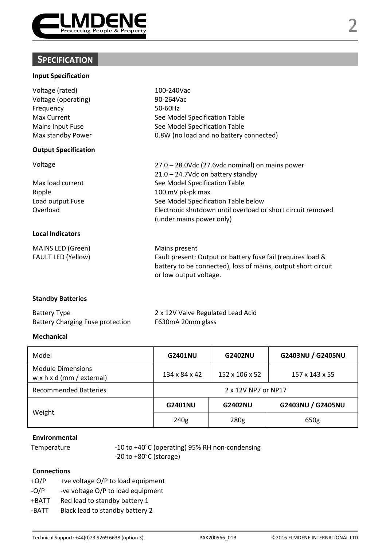

### **SPECIFICATION**

#### Input Specification

| Voltage (rated)<br>Voltage (operating)<br>Frequency<br>Max Current<br>Mains Input Fuse | 100-240Vac<br>90-264Vac<br>50-60Hz<br>See Model Specification Table<br>See Model Specification Table |
|----------------------------------------------------------------------------------------|------------------------------------------------------------------------------------------------------|
| Max standby Power                                                                      | 0.8W (no load and no battery connected)                                                              |
| <b>Output Specification</b>                                                            |                                                                                                      |
| Voltage                                                                                | 27.0 – 28.0Vdc (27.6vdc nominal) on mains power<br>$21.0 - 24.7$ Vdc on battery standby              |
| Max load current                                                                       | See Model Specification Table                                                                        |
| Ripple                                                                                 | 100 mV pk-pk max                                                                                     |
| Load output Fuse                                                                       | See Model Specification Table below                                                                  |
| Overload                                                                               | Electronic shutdown until overload or short circuit removed<br>(under mains power only)              |
| <b>Local Indicators</b>                                                                |                                                                                                      |
| MAINS LED (Green)                                                                      | Mains present                                                                                        |

| MAINS LED (Green)         | Mains present                                                 |
|---------------------------|---------------------------------------------------------------|
| <b>FAULT LED (Yellow)</b> | Fault present: Output or battery fuse fail (requires load &   |
|                           | battery to be connected), loss of mains, output short circuit |
|                           | or low output voltage.                                        |

#### Standby Batteries

| Battery Type                     | 2 x 12V Valve Regulated Lead Acid |
|----------------------------------|-----------------------------------|
| Battery Charging Fuse protection | F630mA 20mm glass                 |

#### Mechanical

| Model                                                      | G2401NU             | G2402NU          | G2403NU / G2405NU |  |
|------------------------------------------------------------|---------------------|------------------|-------------------|--|
| Module Dimensions<br>$w \times h \times d$ (mm / external) | 134 x 84 x 42       | 152 x 106 x 52   | 157 x 143 x 55    |  |
| <b>Recommended Batteries</b>                               | 2 x 12V NP7 or NP17 |                  |                   |  |
| Weight                                                     | G2401NU             | G2402NU          | G2403NU / G2405NU |  |
|                                                            | 240g                | 280 <sub>g</sub> | 650g              |  |

#### Environmental

Temperature -10 to +40°C (operating) 95% RH non-condensing -20 to +80°C (storage)

#### Connections

- +O/P +ve voltage O/P to load equipment
- -O/P -ve voltage O/P to load equipment
- +BATT Red lead to standby battery 1
- -BATT Black lead to standby battery 2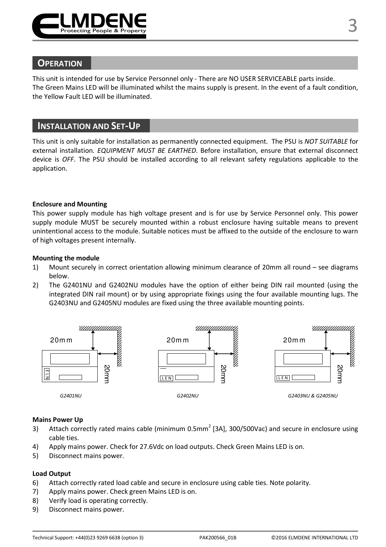

### OPERATION

This unit is intended for use by Service Personnel only - There are NO USER SERVICEABLE parts inside. The Green Mains LED will be illuminated whilst the mains supply is present. In the event of a fault condition, the Yellow Fault LED will be illuminated.

### INSTALLATION AND SET-UP

This unit is only suitable for installation as permanently connected equipment. The PSU is NOT SUITABLE for external installation. EQUIPMENT MUST BE EARTHED. Before installation, ensure that external disconnect device is OFF. The PSU should be installed according to all relevant safety regulations applicable to the application.

#### Enclosure and Mounting

This power supply module has high voltage present and is for use by Service Personnel only. This power supply module MUST be securely mounted within a robust enclosure having suitable means to prevent unintentional access to the module. Suitable notices must be affixed to the outside of the enclosure to warn of high voltages present internally.

#### Mounting the module

- 1) Mount securely in correct orientation allowing minimum clearance of 20mm all round see diagrams below.
- 2) The G2401NU and G2402NU modules have the option of either being DIN rail mounted (using the integrated DIN rail mount) or by using appropriate fixings using the four available mounting lugs. The G2403NU and G2405NU modules are fixed using the three available mounting points.



#### Mains Power Up

- 3) Attach correctly rated mains cable (minimum 0.5mm<sup>2</sup> [3A], 300/500Vac) and secure in enclosure using cable ties.
- 4) Apply mains power. Check for 27.6Vdc on load outputs. Check Green Mains LED is on.
- 5) Disconnect mains power.

#### Load Output

- 6) Attach correctly rated load cable and secure in enclosure using cable ties. Note polarity.
- 7) Apply mains power. Check green Mains LED is on.
- 8) Verify load is operating correctly.
- 9) Disconnect mains power.

3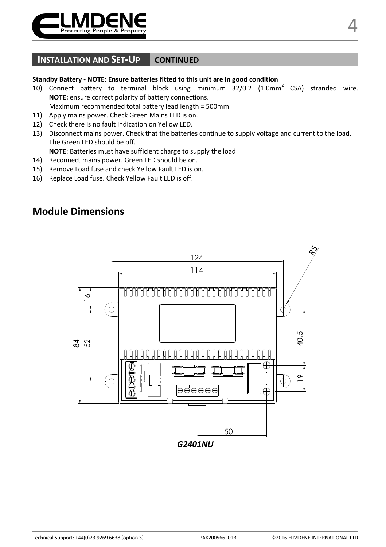

### INSTALLATION AND SET-UP CONTINUED

#### Standby Battery - NOTE: Ensure batteries fitted to this unit are in good condition

- 10) Connect battery to terminal block using minimum  $32/0.2$  (1.0mm<sup>2</sup> CSA) stranded wire. NOTE: ensure correct polarity of battery connections. Maximum recommended total battery lead length = 500mm
- 11) Apply mains power. Check Green Mains LED is on.
- 12) Check there is no fault indication on Yellow LED.
- 13) Disconnect mains power. Check that the batteries continue to supply voltage and current to the load. The Green LED should be off.

NOTE: Batteries must have sufficient charge to supply the load

- 14) Reconnect mains power. Green LED should be on.
- 15) Remove Load fuse and check Yellow Fault LED is on.
- 16) Replace Load fuse. Check Yellow Fault LED is off.

### Module Dimensions

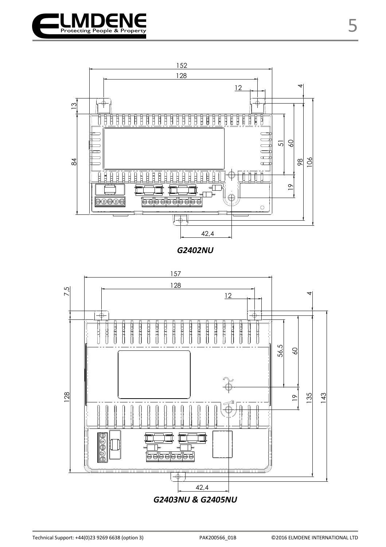



G2402NU



### G2403NU & G2405NU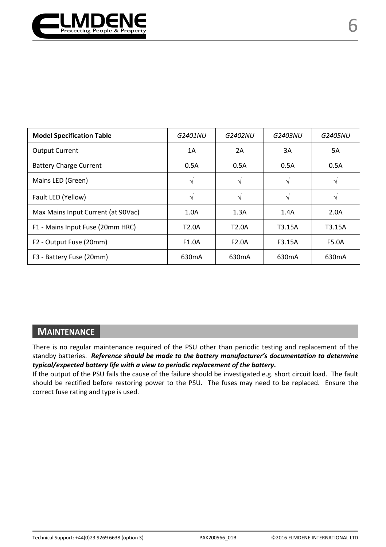

| <b>Model Specification Table</b>   | G2401NU            | G2402NU            | G2403NU            | G2405NU            |
|------------------------------------|--------------------|--------------------|--------------------|--------------------|
| <b>Output Current</b>              | 1A                 | 2A                 | 3A                 | 5A                 |
| <b>Battery Charge Current</b>      | 0.5A               | 0.5A               | 0.5A               | 0.5A               |
| Mains LED (Green)                  | N                  |                    | ٦                  |                    |
| Fault LED (Yellow)                 | $\mathcal{L}$      |                    | $\mathcal{A}$      |                    |
| Max Mains Input Current (at 90Vac) | 1.0A               | 1.3A               | 1.4A               | 2.0A               |
| F1 - Mains Input Fuse (20mm HRC)   | T <sub>2.0</sub> A | T <sub>2.0</sub> A | T3.15A             | T3.15A             |
| F2 - Output Fuse (20mm)            | F <sub>1.0</sub> A | F <sub>2.0</sub> A | F3.15A             | F5.0A              |
| F3 - Battery Fuse (20mm)           | 630 <sub>m</sub> A | 630 <sub>m</sub> A | 630 <sub>m</sub> A | 630 <sub>m</sub> A |

### **MAINTENANCE**

There is no regular maintenance required of the PSU other than periodic testing and replacement of the standby batteries. Reference should be made to the battery manufacturer's documentation to determine typical/expected battery life with a view to periodic replacement of the battery.

If the output of the PSU fails the cause of the failure should be investigated e.g. short circuit load. The fault should be rectified before restoring power to the PSU. The fuses may need to be replaced. Ensure the correct fuse rating and type is used.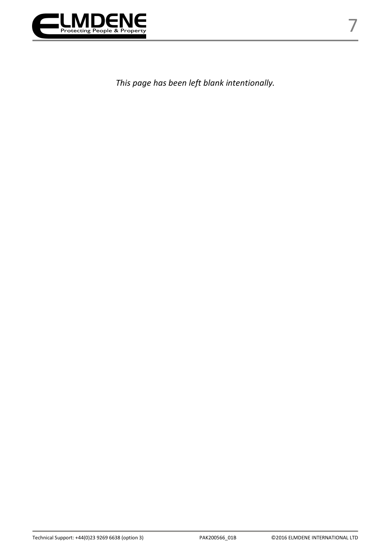

This page has been left blank intentionally.